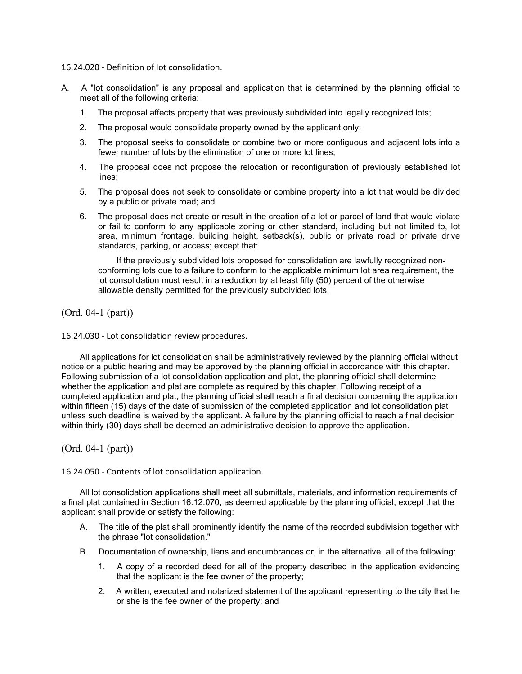16.24.020 - Definition of lot consolidation.

- A. A "lot consolidation" is any proposal and application that is determined by the planning official to meet all of the following criteria:
	- 1. The proposal affects property that was previously subdivided into legally recognized lots;
	- 2. The proposal would consolidate property owned by the applicant only;
	- 3. The proposal seeks to consolidate or combine two or more contiguous and adjacent lots into a fewer number of lots by the elimination of one or more lot lines;
	- 4. The proposal does not propose the relocation or reconfiguration of previously established lot lines;
	- 5. The proposal does not seek to consolidate or combine property into a lot that would be divided by a public or private road; and
	- 6. The proposal does not create or result in the creation of a lot or parcel of land that would violate or fail to conform to any applicable zoning or other standard, including but not limited to, lot area, minimum frontage, building height, setback(s), public or private road or private drive standards, parking, or access; except that:

If the previously subdivided lots proposed for consolidation are lawfully recognized nonconforming lots due to a failure to conform to the applicable minimum lot area requirement, the lot consolidation must result in a reduction by at least fifty (50) percent of the otherwise allowable density permitted for the previously subdivided lots.

(Ord. 04-1 (part))

16.24.030 - Lot consolidation review procedures.

All applications for lot consolidation shall be administratively reviewed by the planning official without notice or a public hearing and may be approved by the planning official in accordance with this chapter. Following submission of a lot consolidation application and plat, the planning official shall determine whether the application and plat are complete as required by this chapter. Following receipt of a completed application and plat, the planning official shall reach a final decision concerning the application within fifteen (15) days of the date of submission of the completed application and lot consolidation plat unless such deadline is waived by the applicant. A failure by the planning official to reach a final decision within thirty (30) days shall be deemed an administrative decision to approve the application.

(Ord. 04-1 (part))

16.24.050 - Contents of lot consolidation application.

All lot consolidation applications shall meet all submittals, materials, and information requirements of a final plat contained in Section 16.12.070, as deemed applicable by the planning official, except that the applicant shall provide or satisfy the following:

- A. The title of the plat shall prominently identify the name of the recorded subdivision together with the phrase "lot consolidation."
- B. Documentation of ownership, liens and encumbrances or, in the alternative, all of the following:
	- 1. A copy of a recorded deed for all of the property described in the application evidencing that the applicant is the fee owner of the property;
	- 2. A written, executed and notarized statement of the applicant representing to the city that he or she is the fee owner of the property; and